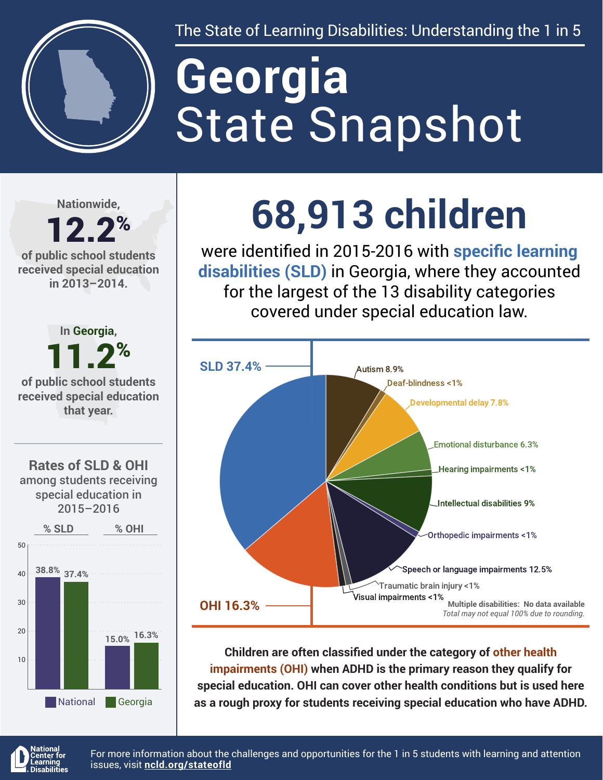

The State of Learning Disabilities: Understanding the 1 in 5

# State Snapshot **Georgia**

**Nationwide,**

#### 12.2% **of public school students received special education in 2013–2014.**



## **68,913 children**

were identified in 2015-2016 with **specific learning disabilities (SLD)** in Georgia, where they accounted for the largest of the 13 disability categories covered under special education law.



**Children are often classified under the category of other health impairments (OHI) when ADHD is the primary reason they qualify for special education. OHI can cover other health conditions but is used here as a rough proxy for students receiving special education who have ADHD.**



For more information about the challenges and opportunities for the 1 in 5 students with learning and attention issues, visit **[ncld.org/stateofld](http://ncld.org/stateofld)**